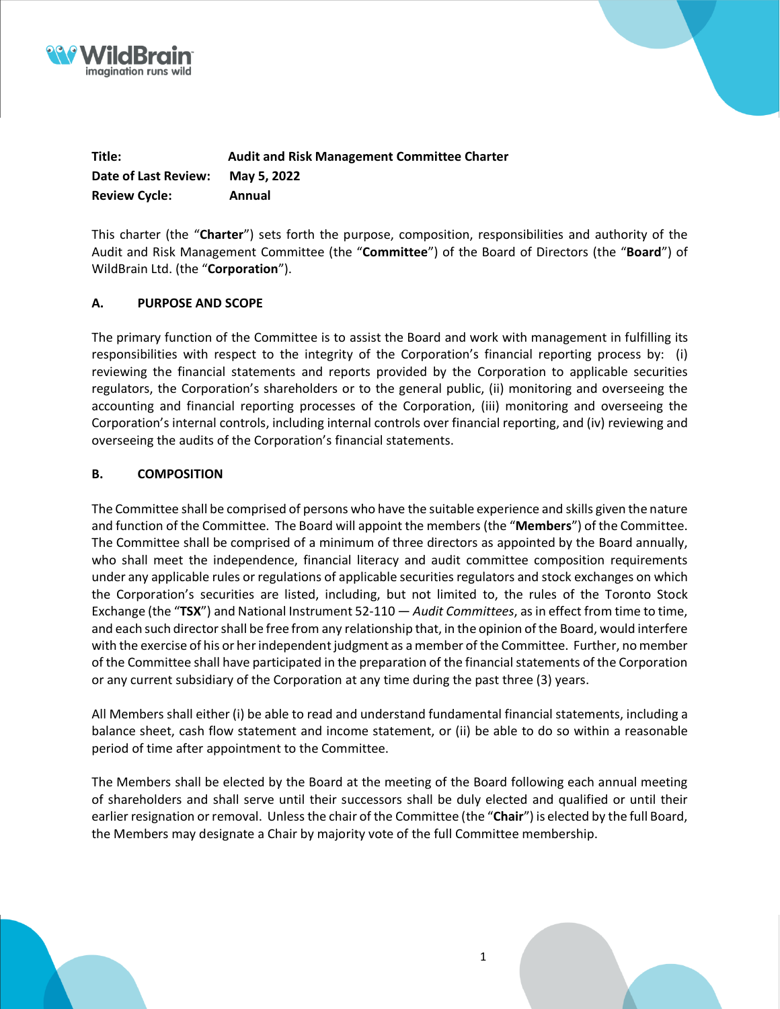



# **Title: Audit and Risk Management Committee Charter Date of Last Review: May 5, 2022 Review Cycle: Annual**

This charter (the "**Charter**") sets forth the purpose, composition, responsibilities and authority of the Audit and Risk Management Committee (the "**Committee**") of the Board of Directors (the "**Board**") of WildBrain Ltd. (the "**Corporation**").

### **A. PURPOSE AND SCOPE**

The primary function of the Committee is to assist the Board and work with management in fulfilling its responsibilities with respect to the integrity of the Corporation's financial reporting process by: (i) reviewing the financial statements and reports provided by the Corporation to applicable securities regulators, the Corporation's shareholders or to the general public, (ii) monitoring and overseeing the accounting and financial reporting processes of the Corporation, (iii) monitoring and overseeing the Corporation's internal controls, including internal controls over financial reporting, and (iv) reviewing and overseeing the audits of the Corporation's financial statements.

### **B. COMPOSITION**

The Committee shall be comprised of persons who have the suitable experience and skills given the nature and function of the Committee. The Board will appoint the members (the "**Members**") of the Committee. The Committee shall be comprised of a minimum of three directors as appointed by the Board annually, who shall meet the independence, financial literacy and audit committee composition requirements under any applicable rules or regulations of applicable securities regulators and stock exchanges on which the Corporation's securities are listed, including, but not limited to, the rules of the Toronto Stock Exchange (the "**TSX**") and National Instrument 52-110 — *Audit Committees*, asin effect from time to time, and each such directorshall be free from any relationship that, in the opinion of the Board, would interfere with the exercise of his or her independent judgment as a member of the Committee. Further, no member of the Committee shall have participated in the preparation of the financial statements of the Corporation or any current subsidiary of the Corporation at any time during the past three (3) years.

All Members shall either (i) be able to read and understand fundamental financial statements, including a balance sheet, cash flow statement and income statement, or (ii) be able to do so within a reasonable period of time after appointment to the Committee.

The Members shall be elected by the Board at the meeting of the Board following each annual meeting of shareholders and shall serve until their successors shall be duly elected and qualified or until their earlier resignation or removal. Unlessthe chair of the Committee (the "**Chair**") is elected by the full Board, the Members may designate a Chair by majority vote of the full Committee membership.

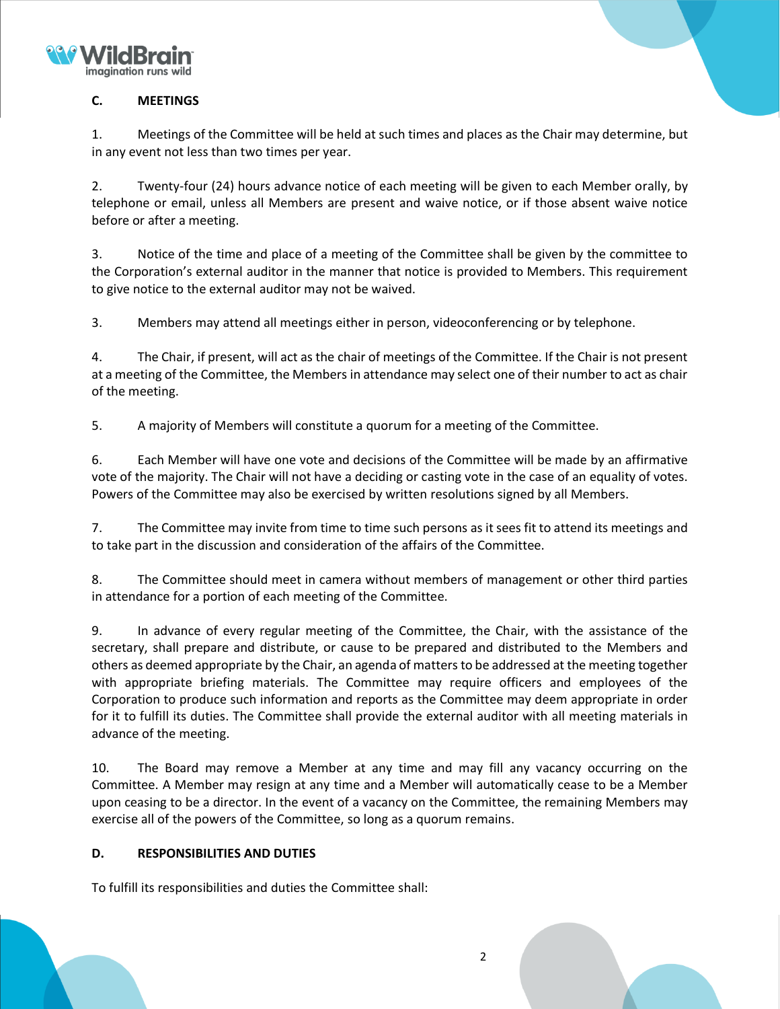

# **C. MEETINGS**

1. Meetings of the Committee will be held at such times and places as the Chair may determine, but in any event not less than two times per year.

2. Twenty-four (24) hours advance notice of each meeting will be given to each Member orally, by telephone or email, unless all Members are present and waive notice, or if those absent waive notice before or after a meeting.

3. Notice of the time and place of a meeting of the Committee shall be given by the committee to the Corporation's external auditor in the manner that notice is provided to Members. This requirement to give notice to the external auditor may not be waived.

3. Members may attend all meetings either in person, videoconferencing or by telephone.

4. The Chair, if present, will act as the chair of meetings of the Committee. If the Chair is not present at a meeting of the Committee, the Members in attendance may select one of their number to act as chair of the meeting.

5. A majority of Members will constitute a quorum for a meeting of the Committee.

6. Each Member will have one vote and decisions of the Committee will be made by an affirmative vote of the majority. The Chair will not have a deciding or casting vote in the case of an equality of votes. Powers of the Committee may also be exercised by written resolutions signed by all Members.

7. The Committee may invite from time to time such persons as itsees fit to attend its meetings and to take part in the discussion and consideration of the affairs of the Committee.

8. The Committee should meet in camera without members of management or other third parties in attendance for a portion of each meeting of the Committee.

9. In advance of every regular meeting of the Committee, the Chair, with the assistance of the secretary, shall prepare and distribute, or cause to be prepared and distributed to the Members and others as deemed appropriate by the Chair, an agenda of matters to be addressed at the meeting together with appropriate briefing materials. The Committee may require officers and employees of the Corporation to produce such information and reports as the Committee may deem appropriate in order for it to fulfill its duties. The Committee shall provide the external auditor with all meeting materials in advance of the meeting.

10. The Board may remove a Member at any time and may fill any vacancy occurring on the Committee. A Member may resign at any time and a Member will automatically cease to be a Member upon ceasing to be a director. In the event of a vacancy on the Committee, the remaining Members may exercise all of the powers of the Committee, so long as a quorum remains.

## **D. RESPONSIBILITIES AND DUTIES**

To fulfill its responsibilities and duties the Committee shall:

2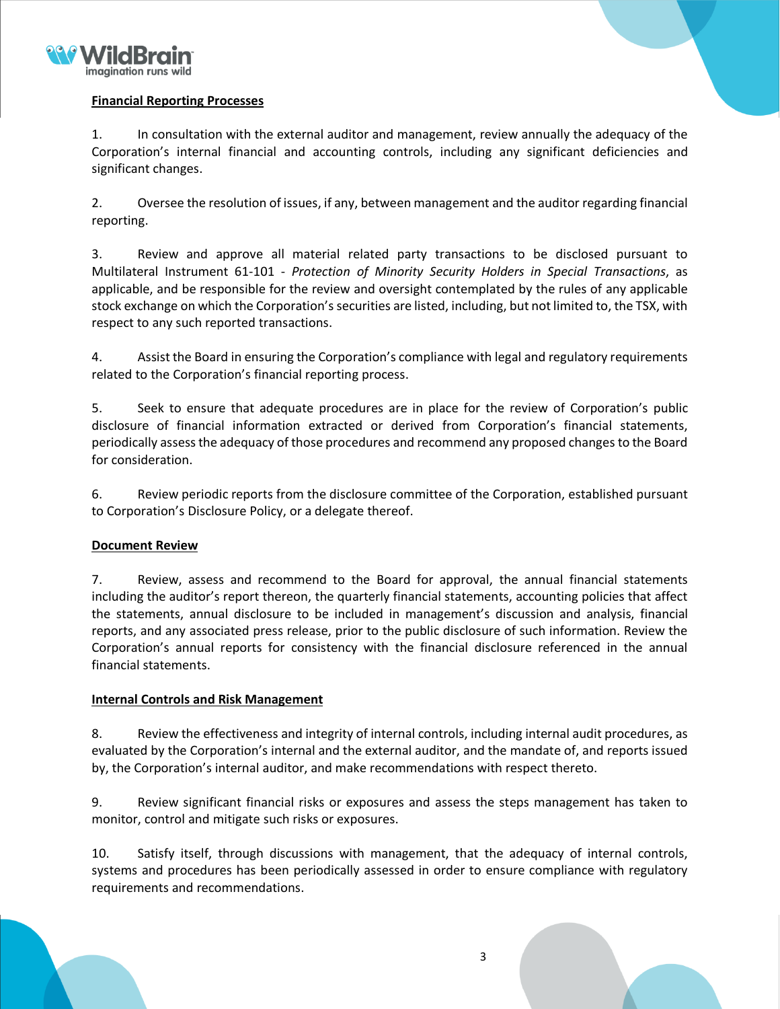

#### **Financial Reporting Processes**

1. In consultation with the external auditor and management, review annually the adequacy of the Corporation's internal financial and accounting controls, including any significant deficiencies and significant changes.

2. Oversee the resolution of issues, if any, between management and the auditor regarding financial reporting.

3. Review and approve all material related party transactions to be disclosed pursuant to Multilateral Instrument 61-101 - *Protection of Minority Security Holders in Special Transactions*, as applicable, and be responsible for the review and oversight contemplated by the rules of any applicable stock exchange on which the Corporation'ssecurities are listed, including, but not limited to, the TSX, with respect to any such reported transactions.

4. Assist the Board in ensuring the Corporation's compliance with legal and regulatory requirements related to the Corporation's financial reporting process.

5. Seek to ensure that adequate procedures are in place for the review of Corporation's public disclosure of financial information extracted or derived from Corporation's financial statements, periodically assessthe adequacy of those procedures and recommend any proposed changesto the Board for consideration.

6. Review periodic reports from the disclosure committee of the Corporation, established pursuant to Corporation's Disclosure Policy, or a delegate thereof.

#### **Document Review**

7. Review, assess and recommend to the Board for approval, the annual financial statements including the auditor's report thereon, the quarterly financial statements, accounting policies that affect the statements, annual disclosure to be included in management's discussion and analysis, financial reports, and any associated press release, prior to the public disclosure of such information. Review the Corporation's annual reports for consistency with the financial disclosure referenced in the annual financial statements.

#### **Internal Controls and Risk Management**

8. Review the effectiveness and integrity of internal controls, including internal audit procedures, as evaluated by the Corporation's internal and the external auditor, and the mandate of, and reports issued by, the Corporation's internal auditor, and make recommendations with respect thereto.

9. Review significant financial risks or exposures and assess the steps management has taken to monitor, control and mitigate such risks or exposures.

10. Satisfy itself, through discussions with management, that the adequacy of internal controls, systems and procedures has been periodically assessed in order to ensure compliance with regulatory requirements and recommendations.

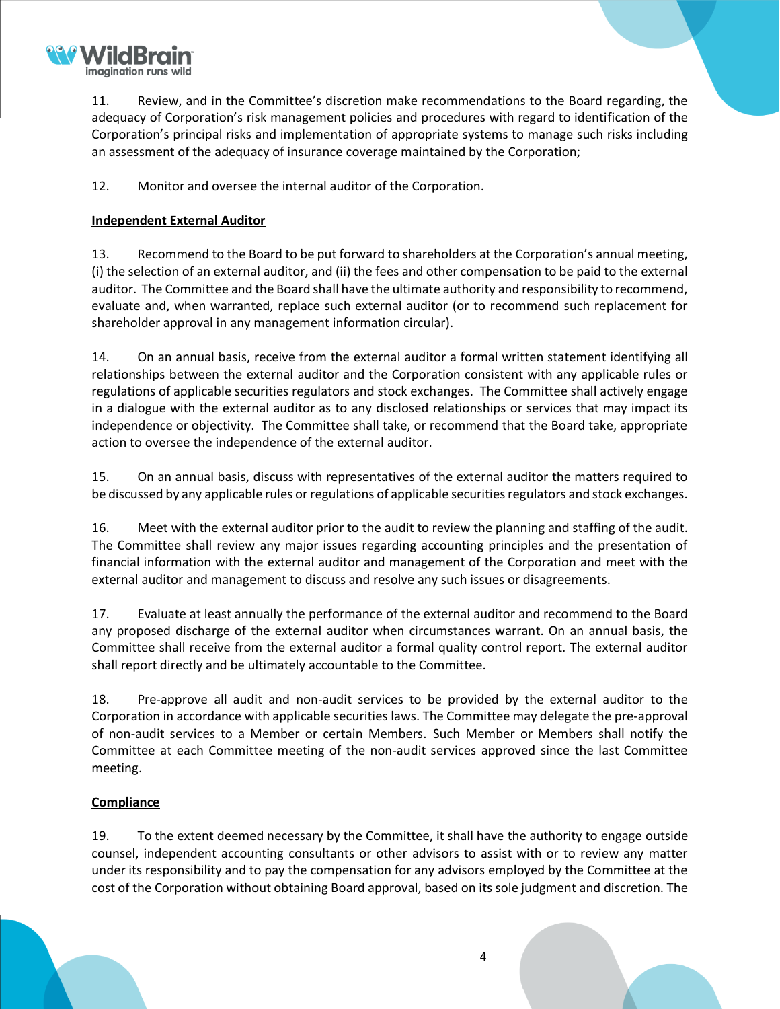

11. Review, and in the Committee's discretion make recommendations to the Board regarding, the adequacy of Corporation's risk management policies and procedures with regard to identification of the Corporation's principal risks and implementation of appropriate systems to manage such risks including an assessment of the adequacy of insurance coverage maintained by the Corporation;

12. Monitor and oversee the internal auditor of the Corporation.

# **Independent External Auditor**

13. Recommend to the Board to be put forward to shareholders at the Corporation's annual meeting, (i) the selection of an external auditor, and (ii) the fees and other compensation to be paid to the external auditor. The Committee and the Board shall have the ultimate authority and responsibility to recommend, evaluate and, when warranted, replace such external auditor (or to recommend such replacement for shareholder approval in any management information circular).

14. On an annual basis, receive from the external auditor a formal written statement identifying all relationships between the external auditor and the Corporation consistent with any applicable rules or regulations of applicable securities regulators and stock exchanges. The Committee shall actively engage in a dialogue with the external auditor as to any disclosed relationships or services that may impact its independence or objectivity. The Committee shall take, or recommend that the Board take, appropriate action to oversee the independence of the external auditor.

15. On an annual basis, discuss with representatives of the external auditor the matters required to be discussed by any applicable rules or regulations of applicable securities regulators and stock exchanges.

16. Meet with the external auditor prior to the audit to review the planning and staffing of the audit. The Committee shall review any major issues regarding accounting principles and the presentation of financial information with the external auditor and management of the Corporation and meet with the external auditor and management to discuss and resolve any such issues or disagreements.

17. Evaluate at least annually the performance of the external auditor and recommend to the Board any proposed discharge of the external auditor when circumstances warrant. On an annual basis, the Committee shall receive from the external auditor a formal quality control report. The external auditor shall report directly and be ultimately accountable to the Committee.

18. Pre-approve all audit and non-audit services to be provided by the external auditor to the Corporation in accordance with applicable securities laws. The Committee may delegate the pre-approval of non-audit services to a Member or certain Members. Such Member or Members shall notify the Committee at each Committee meeting of the non-audit services approved since the last Committee meeting.

## **Compliance**

19. To the extent deemed necessary by the Committee, it shall have the authority to engage outside counsel, independent accounting consultants or other advisors to assist with or to review any matter under its responsibility and to pay the compensation for any advisors employed by the Committee at the cost of the Corporation without obtaining Board approval, based on its sole judgment and discretion. The

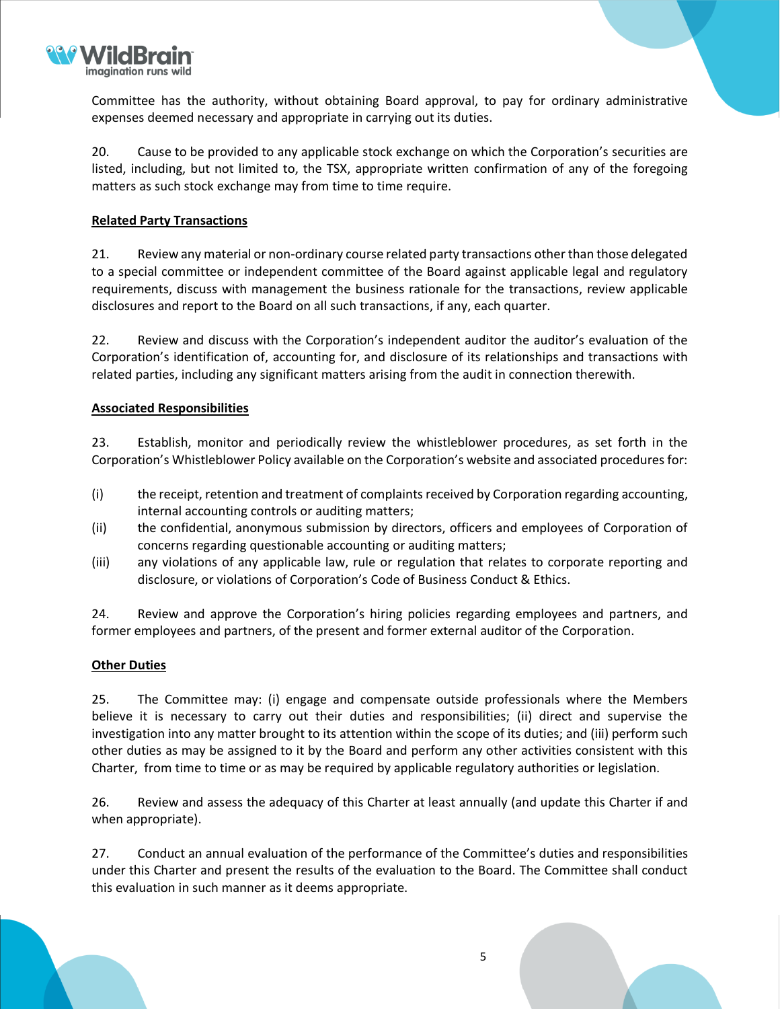

Committee has the authority, without obtaining Board approval, to pay for ordinary administrative expenses deemed necessary and appropriate in carrying out its duties.

20. Cause to be provided to any applicable stock exchange on which the Corporation's securities are listed, including, but not limited to, the TSX, appropriate written confirmation of any of the foregoing matters as such stock exchange may from time to time require.

### **Related Party Transactions**

21. Review any material or non-ordinary course related party transactions other than those delegated to a special committee or independent committee of the Board against applicable legal and regulatory requirements, discuss with management the business rationale for the transactions, review applicable disclosures and report to the Board on all such transactions, if any, each quarter.

22. Review and discuss with the Corporation's independent auditor the auditor's evaluation of the Corporation's identification of, accounting for, and disclosure of its relationships and transactions with related parties, including any significant matters arising from the audit in connection therewith.

#### **Associated Responsibilities**

23. Establish, monitor and periodically review the whistleblower procedures, as set forth in the Corporation's Whistleblower Policy available on the Corporation's website and associated procedures for:

- (i) the receipt, retention and treatment of complaints received by Corporation regarding accounting, internal accounting controls or auditing matters;
- (ii) the confidential, anonymous submission by directors, officers and employees of Corporation of concerns regarding questionable accounting or auditing matters;
- (iii) any violations of any applicable law, rule or regulation that relates to corporate reporting and disclosure, or violations of Corporation's Code of Business Conduct & Ethics.

24. Review and approve the Corporation's hiring policies regarding employees and partners, and former employees and partners, of the present and former external auditor of the Corporation.

#### **Other Duties**

25. The Committee may: (i) engage and compensate outside professionals where the Members believe it is necessary to carry out their duties and responsibilities; (ii) direct and supervise the investigation into any matter brought to its attention within the scope of its duties; and (iii) perform such other duties as may be assigned to it by the Board and perform any other activities consistent with this Charter, from time to time or as may be required by applicable regulatory authorities or legislation.

26. Review and assess the adequacy of this Charter at least annually (and update this Charter if and when appropriate).

27. Conduct an annual evaluation of the performance of the Committee's duties and responsibilities under this Charter and present the results of the evaluation to the Board. The Committee shall conduct this evaluation in such manner as it deems appropriate.